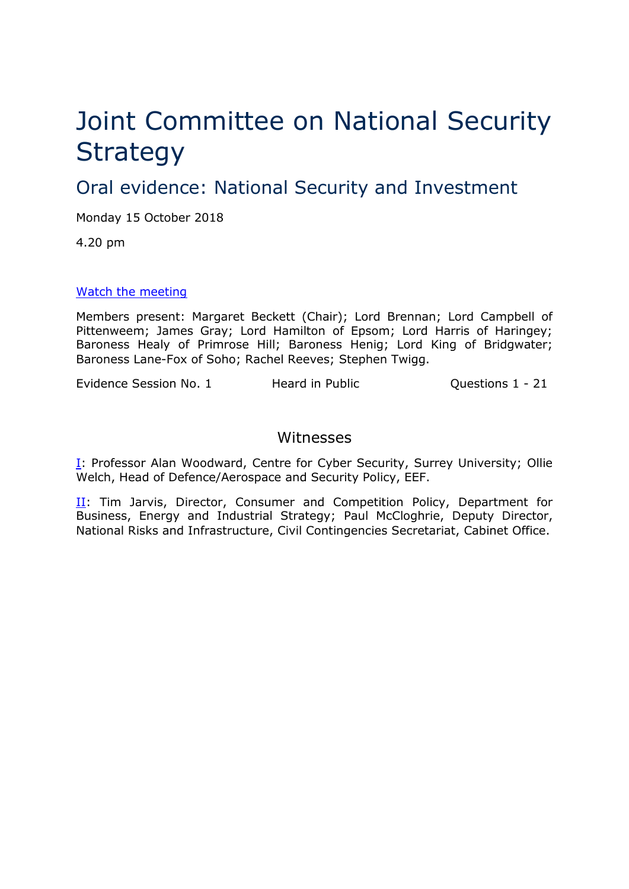# Joint Committee on National Security **Strategy**

Oral evidence: National Security and Investment

Monday 15 October 2018

4.20 pm

### [Watch the meeting](https://parliamentlive.tv/Event/Index/a83529da-98c6-45ec-b100-c68864d0c6f4)

Members present: Margaret Beckett (Chair); Lord Brennan; Lord Campbell of Pittenweem; James Gray; Lord Hamilton of Epsom; Lord Harris of Haringey; Baroness Healy of Primrose Hill; Baroness Henig; Lord King of Bridgwater; Baroness Lane-Fox of Soho; Rachel Reeves; Stephen Twigg.

Evidence Session No. 1 Heard in Public Cuestions 1 - 21

## Witnesses

**[I:](#page-1-0) Professor Alan Woodward, Centre for Cyber Security, Surrey University; Ollie** Welch, Head of Defence/Aerospace and Security Policy, EEF.

II: Tim Jarvis, Director, Consumer and Competition Policy, Department for Business, Energy and Industrial Strategy; Paul McCloghrie, Deputy Director, National Risks and Infrastructure, Civil Contingencies Secretariat, Cabinet Office.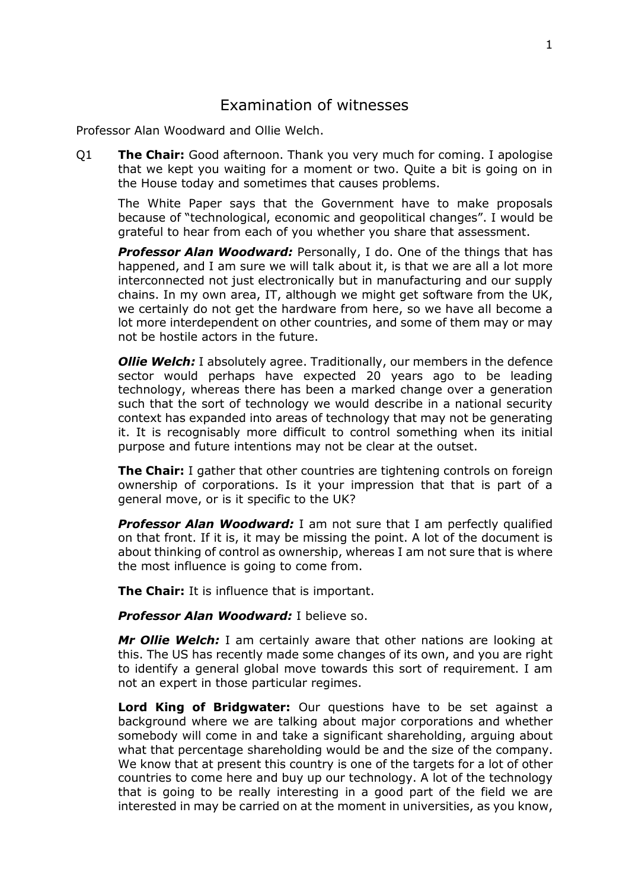# Examination of witnesses

<span id="page-1-0"></span>Professor Alan Woodward and Ollie Welch.

Q1 **The Chair:** Good afternoon. Thank you very much for coming. I apologise that we kept you waiting for a moment or two. Quite a bit is going on in the House today and sometimes that causes problems.

The White Paper says that the Government have to make proposals because of "technological, economic and geopolitical changes". I would be grateful to hear from each of you whether you share that assessment.

**Professor Alan Woodward:** Personally, I do. One of the things that has happened, and I am sure we will talk about it, is that we are all a lot more interconnected not just electronically but in manufacturing and our supply chains. In my own area, IT, although we might get software from the UK, we certainly do not get the hardware from here, so we have all become a lot more interdependent on other countries, and some of them may or may not be hostile actors in the future.

**Ollie Welch:** I absolutely agree. Traditionally, our members in the defence sector would perhaps have expected 20 years ago to be leading technology, whereas there has been a marked change over a generation such that the sort of technology we would describe in a national security context has expanded into areas of technology that may not be generating it. It is recognisably more difficult to control something when its initial purpose and future intentions may not be clear at the outset.

**The Chair:** I gather that other countries are tightening controls on foreign ownership of corporations. Is it your impression that that is part of a general move, or is it specific to the UK?

**Professor Alan Woodward:** I am not sure that I am perfectly qualified on that front. If it is, it may be missing the point. A lot of the document is about thinking of control as ownership, whereas I am not sure that is where the most influence is going to come from.

**The Chair:** It is influence that is important.

**Professor Alan Woodward:** I believe so.

*Mr Ollie Welch:* I am certainly aware that other nations are looking at this. The US has recently made some changes of its own, and you are right to identify a general global move towards this sort of requirement. I am not an expert in those particular regimes.

**Lord King of Bridgwater:** Our questions have to be set against a background where we are talking about major corporations and whether somebody will come in and take a significant shareholding, arguing about what that percentage shareholding would be and the size of the company. We know that at present this country is one of the targets for a lot of other countries to come here and buy up our technology. A lot of the technology that is going to be really interesting in a good part of the field we are interested in may be carried on at the moment in universities, as you know,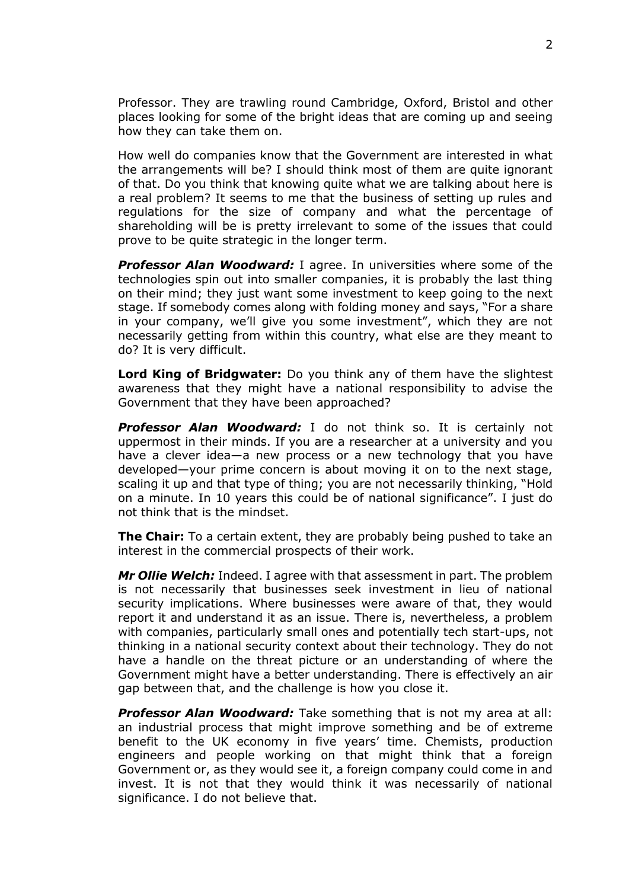Professor. They are trawling round Cambridge, Oxford, Bristol and other places looking for some of the bright ideas that are coming up and seeing how they can take them on.

How well do companies know that the Government are interested in what the arrangements will be? I should think most of them are quite ignorant of that. Do you think that knowing quite what we are talking about here is a real problem? It seems to me that the business of setting up rules and regulations for the size of company and what the percentage of shareholding will be is pretty irrelevant to some of the issues that could prove to be quite strategic in the longer term.

*Professor Alan Woodward:* I agree. In universities where some of the technologies spin out into smaller companies, it is probably the last thing on their mind; they just want some investment to keep going to the next stage. If somebody comes along with folding money and says, "For a share in your company, we'll give you some investment", which they are not necessarily getting from within this country, what else are they meant to do? It is very difficult.

**Lord King of Bridgwater:** Do you think any of them have the slightest awareness that they might have a national responsibility to advise the Government that they have been approached?

*Professor Alan Woodward:* I do not think so. It is certainly not uppermost in their minds. If you are a researcher at a university and you have a clever idea—a new process or a new technology that you have developed—your prime concern is about moving it on to the next stage, scaling it up and that type of thing; you are not necessarily thinking, "Hold on a minute. In 10 years this could be of national significance". I just do not think that is the mindset.

**The Chair:** To a certain extent, they are probably being pushed to take an interest in the commercial prospects of their work.

*Mr Ollie Welch:* Indeed. I agree with that assessment in part. The problem is not necessarily that businesses seek investment in lieu of national security implications. Where businesses were aware of that, they would report it and understand it as an issue. There is, nevertheless, a problem with companies, particularly small ones and potentially tech start-ups, not thinking in a national security context about their technology. They do not have a handle on the threat picture or an understanding of where the Government might have a better understanding. There is effectively an air gap between that, and the challenge is how you close it.

*Professor Alan Woodward:* Take something that is not my area at all: an industrial process that might improve something and be of extreme benefit to the UK economy in five years' time. Chemists, production engineers and people working on that might think that a foreign Government or, as they would see it, a foreign company could come in and invest. It is not that they would think it was necessarily of national significance. I do not believe that.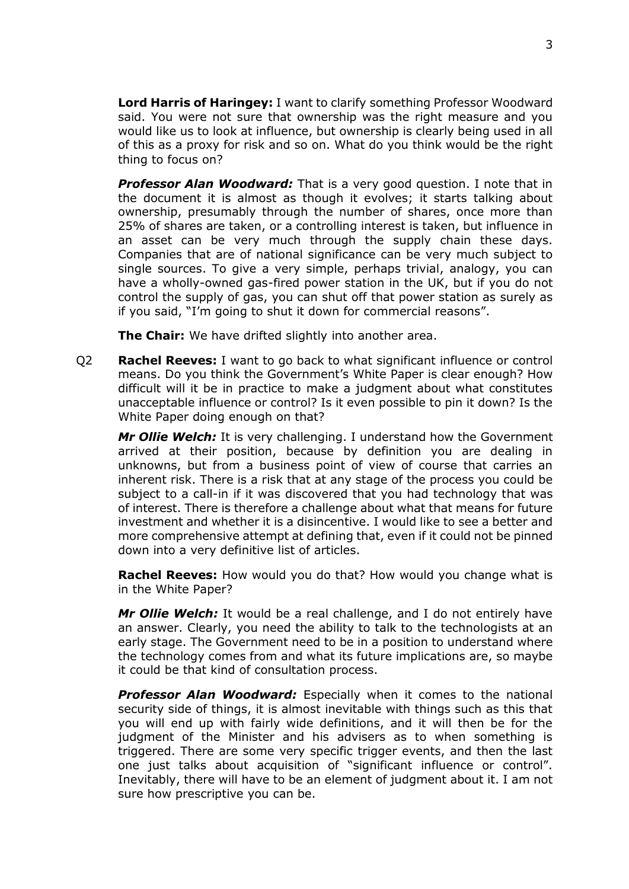**Lord Harris of Haringey:** I want to clarify something Professor Woodward said. You were not sure that ownership was the right measure and you would like us to look at influence, but ownership is clearly being used in all of this as a proxy for risk and so on. What do you think would be the right thing to focus on?

*Professor Alan Woodward:* That is a very good question. I note that in the document it is almost as though it evolves; it starts talking about ownership, presumably through the number of shares, once more than 25% of shares are taken, or a controlling interest is taken, but influence in an asset can be very much through the supply chain these days. Companies that are of national significance can be very much subject to single sources. To give a very simple, perhaps trivial, analogy, you can have a wholly-owned gas-fired power station in the UK, but if you do not control the supply of gas, you can shut off that power station as surely as if you said, "I'm going to shut it down for commercial reasons".

**The Chair:** We have drifted slightly into another area.

Q2 **Rachel Reeves:** I want to go back to what significant influence or control means. Do you think the Government's White Paper is clear enough? How difficult will it be in practice to make a judgment about what constitutes unacceptable influence or control? Is it even possible to pin it down? Is the White Paper doing enough on that?

*Mr Ollie Welch:* It is very challenging. I understand how the Government arrived at their position, because by definition you are dealing in unknowns, but from a business point of view of course that carries an inherent risk. There is a risk that at any stage of the process you could be subject to a call-in if it was discovered that you had technology that was of interest. There is therefore a challenge about what that means for future investment and whether it is a disincentive. I would like to see a better and more comprehensive attempt at defining that, even if it could not be pinned down into a very definitive list of articles.

**Rachel Reeves:** How would you do that? How would you change what is in the White Paper?

*Mr Ollie Welch:* It would be a real challenge, and I do not entirely have an answer. Clearly, you need the ability to talk to the technologists at an early stage. The Government need to be in a position to understand where the technology comes from and what its future implications are, so maybe it could be that kind of consultation process.

*Professor Alan Woodward:* Especially when it comes to the national security side of things, it is almost inevitable with things such as this that you will end up with fairly wide definitions, and it will then be for the judgment of the Minister and his advisers as to when something is triggered. There are some very specific trigger events, and then the last one just talks about acquisition of "significant influence or control". Inevitably, there will have to be an element of judgment about it. I am not sure how prescriptive you can be.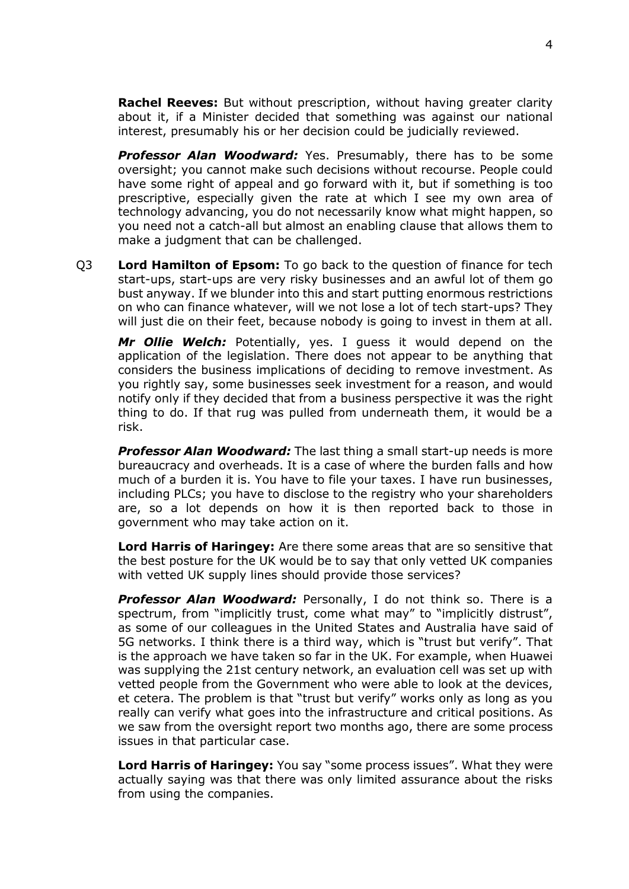**Rachel Reeves:** But without prescription, without having greater clarity about it, if a Minister decided that something was against our national interest, presumably his or her decision could be judicially reviewed.

*Professor Alan Woodward:* Yes. Presumably, there has to be some oversight; you cannot make such decisions without recourse. People could have some right of appeal and go forward with it, but if something is too prescriptive, especially given the rate at which I see my own area of technology advancing, you do not necessarily know what might happen, so you need not a catch-all but almost an enabling clause that allows them to make a judgment that can be challenged.

Q3 **Lord Hamilton of Epsom:** To go back to the question of finance for tech start-ups, start-ups are very risky businesses and an awful lot of them go bust anyway. If we blunder into this and start putting enormous restrictions on who can finance whatever, will we not lose a lot of tech start-ups? They will just die on their feet, because nobody is going to invest in them at all.

*Mr Ollie Welch:* Potentially, yes. I guess it would depend on the application of the legislation. There does not appear to be anything that considers the business implications of deciding to remove investment. As you rightly say, some businesses seek investment for a reason, and would notify only if they decided that from a business perspective it was the right thing to do. If that rug was pulled from underneath them, it would be a risk.

**Professor Alan Woodward:** The last thing a small start-up needs is more bureaucracy and overheads. It is a case of where the burden falls and how much of a burden it is. You have to file your taxes. I have run businesses, including PLCs; you have to disclose to the registry who your shareholders are, so a lot depends on how it is then reported back to those in government who may take action on it.

**Lord Harris of Haringey:** Are there some areas that are so sensitive that the best posture for the UK would be to say that only vetted UK companies with vetted UK supply lines should provide those services?

*Professor Alan Woodward:* Personally, I do not think so. There is a spectrum, from "implicitly trust, come what may" to "implicitly distrust", as some of our colleagues in the United States and Australia have said of 5G networks. I think there is a third way, which is "trust but verify". That is the approach we have taken so far in the UK. For example, when Huawei was supplying the 21st century network, an evaluation cell was set up with vetted people from the Government who were able to look at the devices, et cetera. The problem is that "trust but verify" works only as long as you really can verify what goes into the infrastructure and critical positions. As we saw from the oversight report two months ago, there are some process issues in that particular case.

**Lord Harris of Haringey:** You say "some process issues". What they were actually saying was that there was only limited assurance about the risks from using the companies.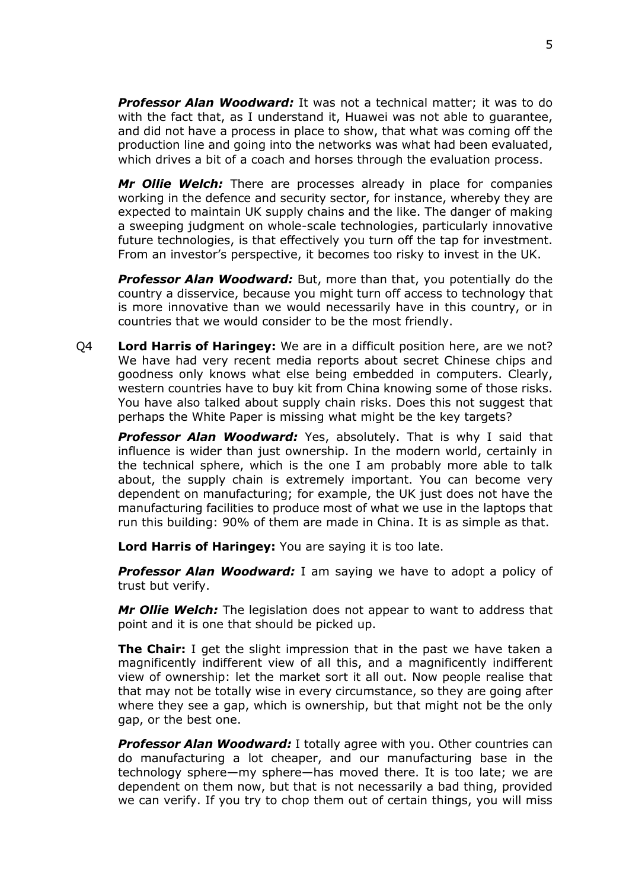*Professor Alan Woodward:* It was not a technical matter; it was to do with the fact that, as I understand it, Huawei was not able to guarantee, and did not have a process in place to show, that what was coming off the production line and going into the networks was what had been evaluated, which drives a bit of a coach and horses through the evaluation process.

*Mr Ollie Welch:* There are processes already in place for companies working in the defence and security sector, for instance, whereby they are expected to maintain UK supply chains and the like. The danger of making a sweeping judgment on whole-scale technologies, particularly innovative future technologies, is that effectively you turn off the tap for investment. From an investor's perspective, it becomes too risky to invest in the UK.

**Professor Alan Woodward:** But, more than that, you potentially do the country a disservice, because you might turn off access to technology that is more innovative than we would necessarily have in this country, or in countries that we would consider to be the most friendly.

Q4 **Lord Harris of Haringey:** We are in a difficult position here, are we not? We have had very recent media reports about secret Chinese chips and goodness only knows what else being embedded in computers. Clearly, western countries have to buy kit from China knowing some of those risks. You have also talked about supply chain risks. Does this not suggest that perhaps the White Paper is missing what might be the key targets?

*Professor Alan Woodward:* Yes, absolutely. That is why I said that influence is wider than just ownership. In the modern world, certainly in the technical sphere, which is the one I am probably more able to talk about, the supply chain is extremely important. You can become very dependent on manufacturing; for example, the UK just does not have the manufacturing facilities to produce most of what we use in the laptops that run this building: 90% of them are made in China. It is as simple as that.

**Lord Harris of Haringey:** You are saying it is too late.

**Professor Alan Woodward:** I am saying we have to adopt a policy of trust but verify.

*Mr Ollie Welch:* The legislation does not appear to want to address that point and it is one that should be picked up.

**The Chair:** I get the slight impression that in the past we have taken a magnificently indifferent view of all this, and a magnificently indifferent view of ownership: let the market sort it all out. Now people realise that that may not be totally wise in every circumstance, so they are going after where they see a gap, which is ownership, but that might not be the only gap, or the best one.

**Professor Alan Woodward:** I totally agree with you. Other countries can do manufacturing a lot cheaper, and our manufacturing base in the technology sphere—my sphere—has moved there. It is too late; we are dependent on them now, but that is not necessarily a bad thing, provided we can verify. If you try to chop them out of certain things, you will miss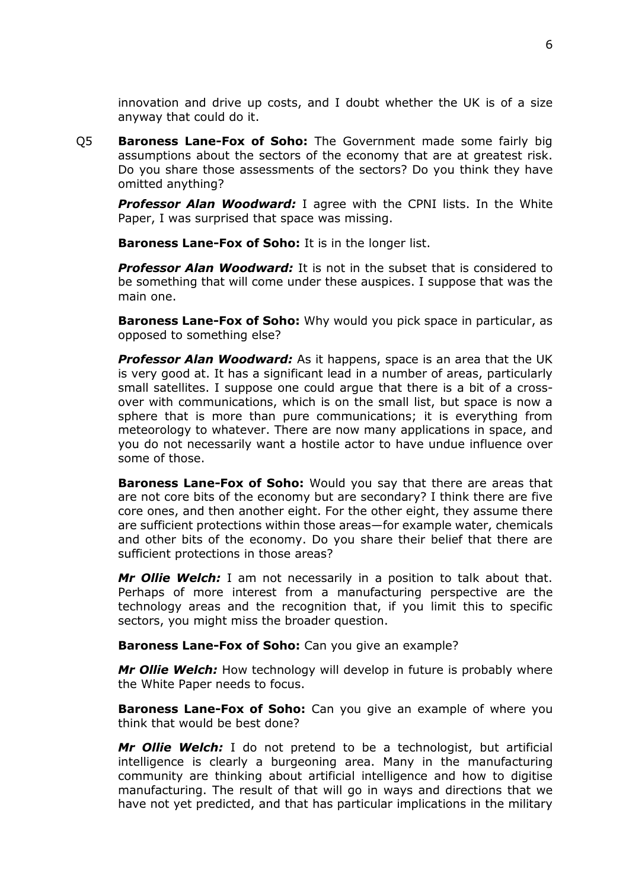innovation and drive up costs, and I doubt whether the UK is of a size anyway that could do it.

Q5 **Baroness Lane-Fox of Soho:** The Government made some fairly big assumptions about the sectors of the economy that are at greatest risk. Do you share those assessments of the sectors? Do you think they have omitted anything?

*Professor Alan Woodward:* I agree with the CPNI lists. In the White Paper, I was surprised that space was missing.

**Baroness Lane-Fox of Soho:** It is in the longer list.

*Professor Alan Woodward:* It is not in the subset that is considered to be something that will come under these auspices. I suppose that was the main one.

**Baroness Lane-Fox of Soho:** Why would you pick space in particular, as opposed to something else?

*Professor Alan Woodward:* As it happens, space is an area that the UK is very good at. It has a significant lead in a number of areas, particularly small satellites. I suppose one could argue that there is a bit of a crossover with communications, which is on the small list, but space is now a sphere that is more than pure communications; it is everything from meteorology to whatever. There are now many applications in space, and you do not necessarily want a hostile actor to have undue influence over some of those.

**Baroness Lane-Fox of Soho:** Would you say that there are areas that are not core bits of the economy but are secondary? I think there are five core ones, and then another eight. For the other eight, they assume there are sufficient protections within those areas—for example water, chemicals and other bits of the economy. Do you share their belief that there are sufficient protections in those areas?

*Mr Ollie Welch:* I am not necessarily in a position to talk about that. Perhaps of more interest from a manufacturing perspective are the technology areas and the recognition that, if you limit this to specific sectors, you might miss the broader question.

**Baroness Lane-Fox of Soho:** Can you give an example?

*Mr Ollie Welch:* How technology will develop in future is probably where the White Paper needs to focus.

**Baroness Lane-Fox of Soho:** Can you give an example of where you think that would be best done?

*Mr Ollie Welch:* I do not pretend to be a technologist, but artificial intelligence is clearly a burgeoning area. Many in the manufacturing community are thinking about artificial intelligence and how to digitise manufacturing. The result of that will go in ways and directions that we have not yet predicted, and that has particular implications in the military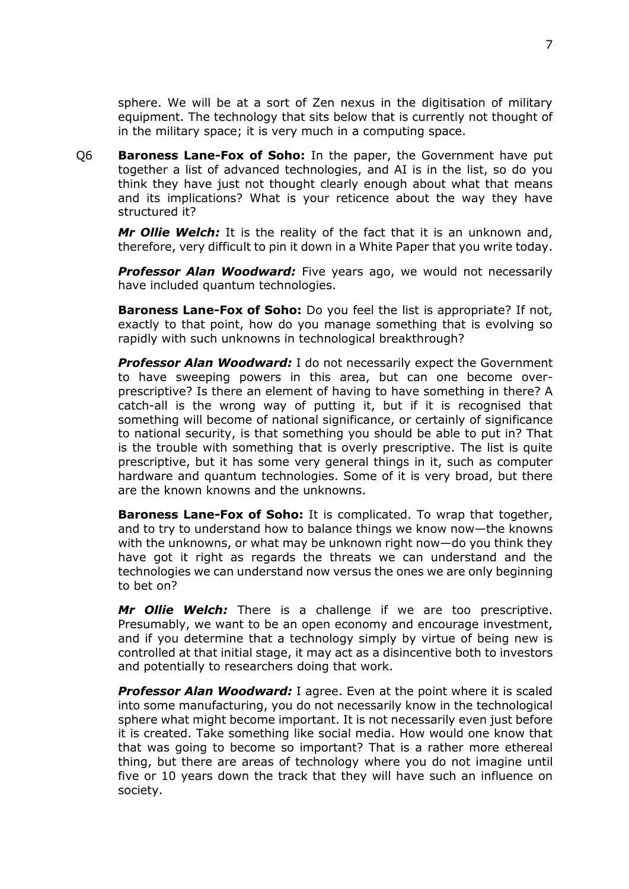sphere. We will be at a sort of Zen nexus in the digitisation of military equipment. The technology that sits below that is currently not thought of in the military space; it is very much in a computing space.

Q6 **Baroness Lane-Fox of Soho:** In the paper, the Government have put together a list of advanced technologies, and AI is in the list, so do you think they have just not thought clearly enough about what that means and its implications? What is your reticence about the way they have structured it?

*Mr Ollie Welch:* It is the reality of the fact that it is an unknown and, therefore, very difficult to pin it down in a White Paper that you write today.

**Professor Alan Woodward:** Five years ago, we would not necessarily have included quantum technologies.

**Baroness Lane-Fox of Soho:** Do you feel the list is appropriate? If not, exactly to that point, how do you manage something that is evolving so rapidly with such unknowns in technological breakthrough?

**Professor Alan Woodward:** I do not necessarily expect the Government to have sweeping powers in this area, but can one become overprescriptive? Is there an element of having to have something in there? A catch-all is the wrong way of putting it, but if it is recognised that something will become of national significance, or certainly of significance to national security, is that something you should be able to put in? That is the trouble with something that is overly prescriptive. The list is quite prescriptive, but it has some very general things in it, such as computer hardware and quantum technologies. Some of it is very broad, but there are the known knowns and the unknowns.

**Baroness Lane-Fox of Soho:** It is complicated. To wrap that together, and to try to understand how to balance things we know now—the knowns with the unknowns, or what may be unknown right now—do you think they have got it right as regards the threats we can understand and the technologies we can understand now versus the ones we are only beginning to bet on?

*Mr Ollie Welch:* There is a challenge if we are too prescriptive. Presumably, we want to be an open economy and encourage investment, and if you determine that a technology simply by virtue of being new is controlled at that initial stage, it may act as a disincentive both to investors and potentially to researchers doing that work.

**Professor Alan Woodward:** I agree. Even at the point where it is scaled into some manufacturing, you do not necessarily know in the technological sphere what might become important. It is not necessarily even just before it is created. Take something like social media. How would one know that that was going to become so important? That is a rather more ethereal thing, but there are areas of technology where you do not imagine until five or 10 years down the track that they will have such an influence on society.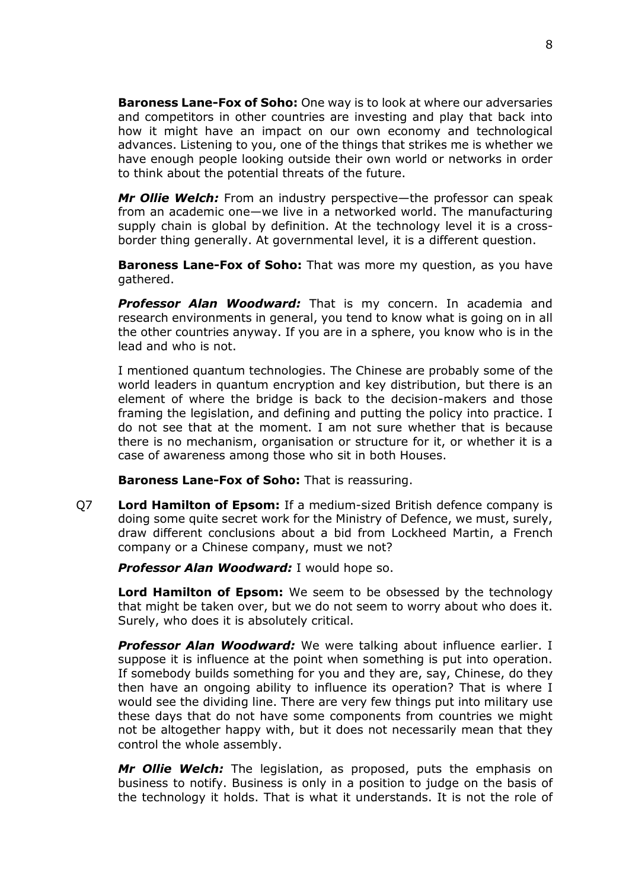**Baroness Lane-Fox of Soho:** One way is to look at where our adversaries and competitors in other countries are investing and play that back into how it might have an impact on our own economy and technological advances. Listening to you, one of the things that strikes me is whether we have enough people looking outside their own world or networks in order to think about the potential threats of the future.

*Mr Ollie Welch:* From an industry perspective—the professor can speak from an academic one—we live in a networked world. The manufacturing supply chain is global by definition. At the technology level it is a crossborder thing generally. At governmental level, it is a different question.

**Baroness Lane-Fox of Soho:** That was more my question, as you have gathered.

*Professor Alan Woodward:* That is my concern. In academia and research environments in general, you tend to know what is going on in all the other countries anyway. If you are in a sphere, you know who is in the lead and who is not.

I mentioned quantum technologies. The Chinese are probably some of the world leaders in quantum encryption and key distribution, but there is an element of where the bridge is back to the decision-makers and those framing the legislation, and defining and putting the policy into practice. I do not see that at the moment. I am not sure whether that is because there is no mechanism, organisation or structure for it, or whether it is a case of awareness among those who sit in both Houses.

**Baroness Lane-Fox of Soho:** That is reassuring.

Q7 **Lord Hamilton of Epsom:** If a medium-sized British defence company is doing some quite secret work for the Ministry of Defence, we must, surely, draw different conclusions about a bid from Lockheed Martin, a French company or a Chinese company, must we not?

*Professor Alan Woodward:* I would hope so.

**Lord Hamilton of Epsom:** We seem to be obsessed by the technology that might be taken over, but we do not seem to worry about who does it. Surely, who does it is absolutely critical.

*Professor Alan Woodward:* We were talking about influence earlier. I suppose it is influence at the point when something is put into operation. If somebody builds something for you and they are, say, Chinese, do they then have an ongoing ability to influence its operation? That is where I would see the dividing line. There are very few things put into military use these days that do not have some components from countries we might not be altogether happy with, but it does not necessarily mean that they control the whole assembly.

*Mr Ollie Welch:* The legislation, as proposed, puts the emphasis on business to notify. Business is only in a position to judge on the basis of the technology it holds. That is what it understands. It is not the role of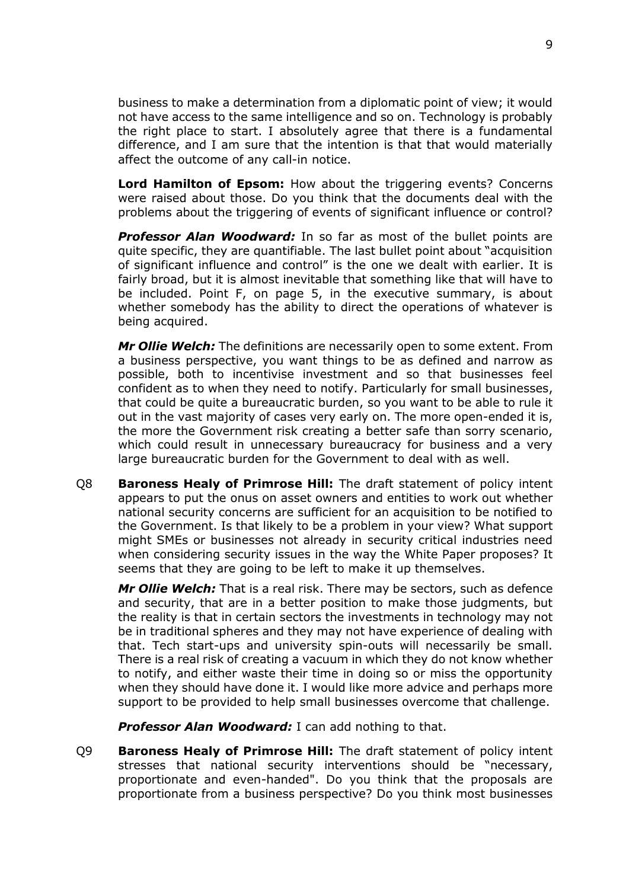business to make a determination from a diplomatic point of view; it would not have access to the same intelligence and so on. Technology is probably the right place to start. I absolutely agree that there is a fundamental difference, and I am sure that the intention is that that would materially affect the outcome of any call-in notice.

**Lord Hamilton of Epsom:** How about the triggering events? Concerns were raised about those. Do you think that the documents deal with the problems about the triggering of events of significant influence or control?

**Professor Alan Woodward:** In so far as most of the bullet points are quite specific, they are quantifiable. The last bullet point about "acquisition of significant influence and control" is the one we dealt with earlier. It is fairly broad, but it is almost inevitable that something like that will have to be included. Point F, on page 5, in the executive summary, is about whether somebody has the ability to direct the operations of whatever is being acquired.

*Mr Ollie Welch:* The definitions are necessarily open to some extent. From a business perspective, you want things to be as defined and narrow as possible, both to incentivise investment and so that businesses feel confident as to when they need to notify. Particularly for small businesses, that could be quite a bureaucratic burden, so you want to be able to rule it out in the vast majority of cases very early on. The more open-ended it is, the more the Government risk creating a better safe than sorry scenario, which could result in unnecessary bureaucracy for business and a very large bureaucratic burden for the Government to deal with as well.

Q8 **Baroness Healy of Primrose Hill:** The draft statement of policy intent appears to put the onus on asset owners and entities to work out whether national security concerns are sufficient for an acquisition to be notified to the Government. Is that likely to be a problem in your view? What support might SMEs or businesses not already in security critical industries need when considering security issues in the way the White Paper proposes? It seems that they are going to be left to make it up themselves.

*Mr Ollie Welch:* That is a real risk. There may be sectors, such as defence and security, that are in a better position to make those judgments, but the reality is that in certain sectors the investments in technology may not be in traditional spheres and they may not have experience of dealing with that. Tech start-ups and university spin-outs will necessarily be small. There is a real risk of creating a vacuum in which they do not know whether to notify, and either waste their time in doing so or miss the opportunity when they should have done it. I would like more advice and perhaps more support to be provided to help small businesses overcome that challenge.

**Professor Alan Woodward:** I can add nothing to that.

Q9 **Baroness Healy of Primrose Hill:** The draft statement of policy intent stresses that national security interventions should be "necessary, proportionate and even-handed". Do you think that the proposals are proportionate from a business perspective? Do you think most businesses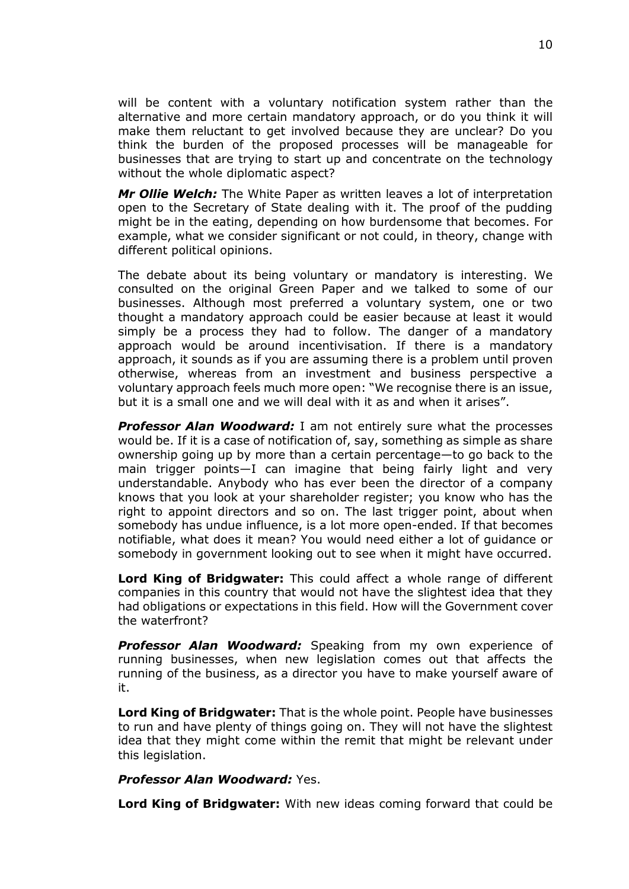will be content with a voluntary notification system rather than the alternative and more certain mandatory approach, or do you think it will make them reluctant to get involved because they are unclear? Do you think the burden of the proposed processes will be manageable for businesses that are trying to start up and concentrate on the technology without the whole diplomatic aspect?

*Mr Ollie Welch:* The White Paper as written leaves a lot of interpretation open to the Secretary of State dealing with it. The proof of the pudding might be in the eating, depending on how burdensome that becomes. For example, what we consider significant or not could, in theory, change with different political opinions.

The debate about its being voluntary or mandatory is interesting. We consulted on the original Green Paper and we talked to some of our businesses. Although most preferred a voluntary system, one or two thought a mandatory approach could be easier because at least it would simply be a process they had to follow. The danger of a mandatory approach would be around incentivisation. If there is a mandatory approach, it sounds as if you are assuming there is a problem until proven otherwise, whereas from an investment and business perspective a voluntary approach feels much more open: "We recognise there is an issue, but it is a small one and we will deal with it as and when it arises".

*Professor Alan Woodward:* I am not entirely sure what the processes would be. If it is a case of notification of, say, something as simple as share ownership going up by more than a certain percentage—to go back to the main trigger points—I can imagine that being fairly light and very understandable. Anybody who has ever been the director of a company knows that you look at your shareholder register; you know who has the right to appoint directors and so on. The last trigger point, about when somebody has undue influence, is a lot more open-ended. If that becomes notifiable, what does it mean? You would need either a lot of guidance or somebody in government looking out to see when it might have occurred.

**Lord King of Bridgwater:** This could affect a whole range of different companies in this country that would not have the slightest idea that they had obligations or expectations in this field. How will the Government cover the waterfront?

**Professor Alan Woodward:** Speaking from my own experience of running businesses, when new legislation comes out that affects the running of the business, as a director you have to make yourself aware of it.

**Lord King of Bridgwater:** That is the whole point. People have businesses to run and have plenty of things going on. They will not have the slightest idea that they might come within the remit that might be relevant under this legislation.

#### *Professor Alan Woodward:* Yes.

**Lord King of Bridgwater:** With new ideas coming forward that could be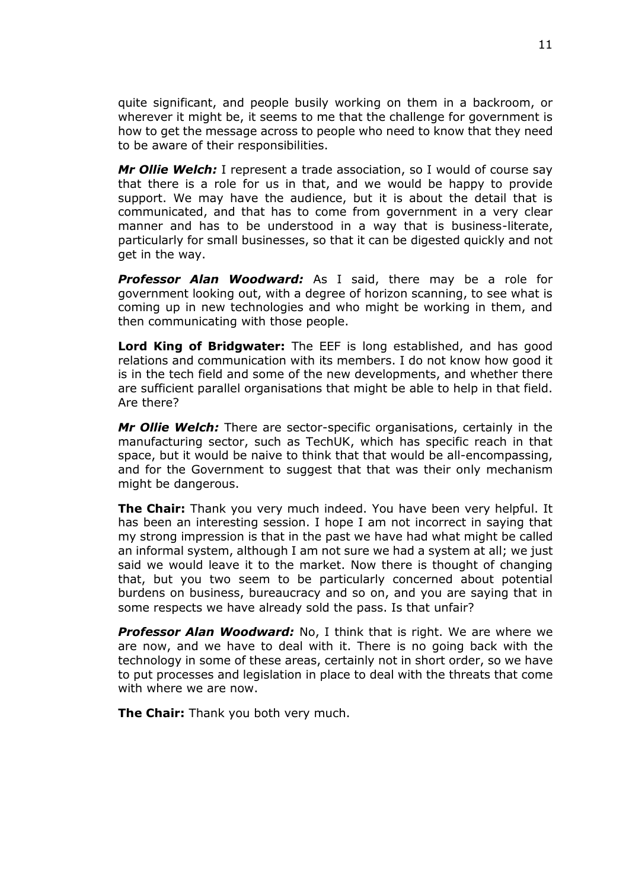quite significant, and people busily working on them in a backroom, or wherever it might be, it seems to me that the challenge for government is how to get the message across to people who need to know that they need to be aware of their responsibilities.

*Mr Ollie Welch:* I represent a trade association, so I would of course say that there is a role for us in that, and we would be happy to provide support. We may have the audience, but it is about the detail that is communicated, and that has to come from government in a very clear manner and has to be understood in a way that is business-literate, particularly for small businesses, so that it can be digested quickly and not get in the way.

*Professor Alan Woodward:* As I said, there may be a role for government looking out, with a degree of horizon scanning, to see what is coming up in new technologies and who might be working in them, and then communicating with those people.

**Lord King of Bridgwater:** The EEF is long established, and has good relations and communication with its members. I do not know how good it is in the tech field and some of the new developments, and whether there are sufficient parallel organisations that might be able to help in that field. Are there?

*Mr Ollie Welch:* There are sector-specific organisations, certainly in the manufacturing sector, such as TechUK, which has specific reach in that space, but it would be naive to think that that would be all-encompassing, and for the Government to suggest that that was their only mechanism might be dangerous.

**The Chair:** Thank you very much indeed. You have been very helpful. It has been an interesting session. I hope I am not incorrect in saying that my strong impression is that in the past we have had what might be called an informal system, although I am not sure we had a system at all; we just said we would leave it to the market. Now there is thought of changing that, but you two seem to be particularly concerned about potential burdens on business, bureaucracy and so on, and you are saying that in some respects we have already sold the pass. Is that unfair?

**Professor Alan Woodward:** No, I think that is right. We are where we are now, and we have to deal with it. There is no going back with the technology in some of these areas, certainly not in short order, so we have to put processes and legislation in place to deal with the threats that come with where we are now.

**The Chair:** Thank you both very much.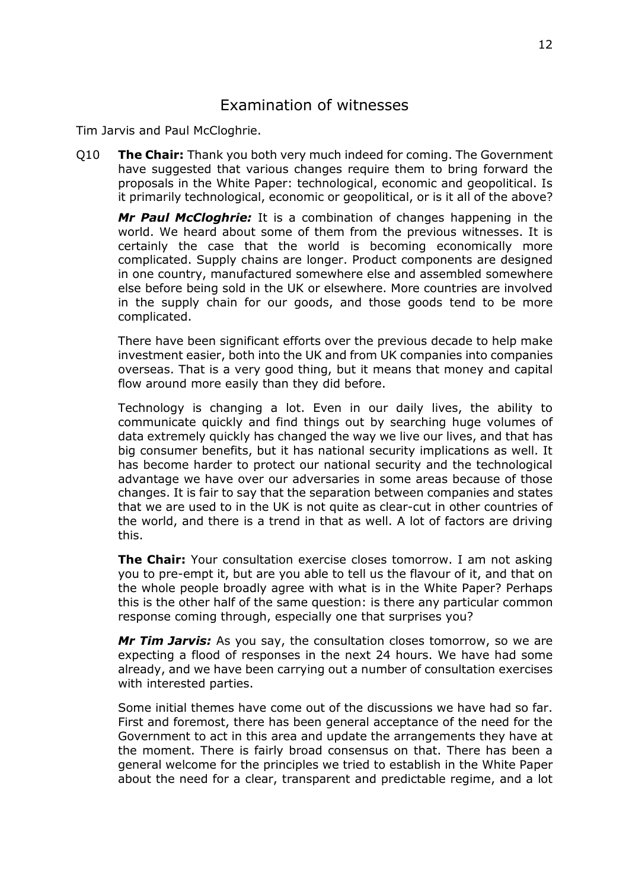# Examination of witnesses

Tim Jarvis and Paul McCloghrie.

Q10 **The Chair:** Thank you both very much indeed for coming. The Government have suggested that various changes require them to bring forward the proposals in the White Paper: technological, economic and geopolitical. Is it primarily technological, economic or geopolitical, or is it all of the above?

*Mr Paul McCloghrie:* It is a combination of changes happening in the world. We heard about some of them from the previous witnesses. It is certainly the case that the world is becoming economically more complicated. Supply chains are longer. Product components are designed in one country, manufactured somewhere else and assembled somewhere else before being sold in the UK or elsewhere. More countries are involved in the supply chain for our goods, and those goods tend to be more complicated.

There have been significant efforts over the previous decade to help make investment easier, both into the UK and from UK companies into companies overseas. That is a very good thing, but it means that money and capital flow around more easily than they did before.

Technology is changing a lot. Even in our daily lives, the ability to communicate quickly and find things out by searching huge volumes of data extremely quickly has changed the way we live our lives, and that has big consumer benefits, but it has national security implications as well. It has become harder to protect our national security and the technological advantage we have over our adversaries in some areas because of those changes. It is fair to say that the separation between companies and states that we are used to in the UK is not quite as clear-cut in other countries of the world, and there is a trend in that as well. A lot of factors are driving this.

**The Chair:** Your consultation exercise closes tomorrow. I am not asking you to pre-empt it, but are you able to tell us the flavour of it, and that on the whole people broadly agree with what is in the White Paper? Perhaps this is the other half of the same question: is there any particular common response coming through, especially one that surprises you?

*Mr Tim Jarvis:* As you say, the consultation closes tomorrow, so we are expecting a flood of responses in the next 24 hours. We have had some already, and we have been carrying out a number of consultation exercises with interested parties.

Some initial themes have come out of the discussions we have had so far. First and foremost, there has been general acceptance of the need for the Government to act in this area and update the arrangements they have at the moment. There is fairly broad consensus on that. There has been a general welcome for the principles we tried to establish in the White Paper about the need for a clear, transparent and predictable regime, and a lot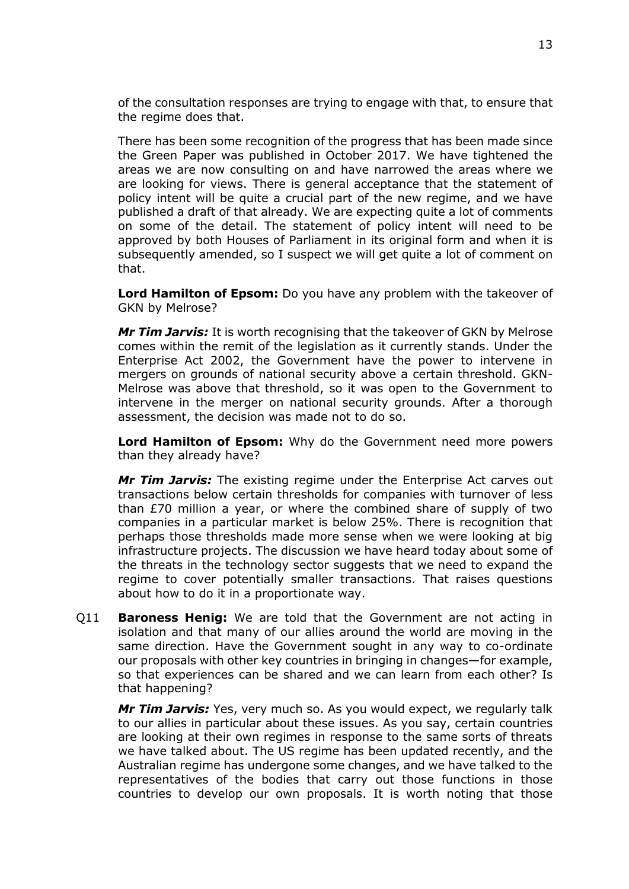of the consultation responses are trying to engage with that, to ensure that the regime does that.

There has been some recognition of the progress that has been made since the Green Paper was published in October 2017. We have tightened the areas we are now consulting on and have narrowed the areas where we are looking for views. There is general acceptance that the statement of policy intent will be quite a crucial part of the new regime, and we have published a draft of that already. We are expecting quite a lot of comments on some of the detail. The statement of policy intent will need to be approved by both Houses of Parliament in its original form and when it is subsequently amended, so I suspect we will get quite a lot of comment on that.

**Lord Hamilton of Epsom:** Do you have any problem with the takeover of GKN by Melrose?

*Mr Tim Jarvis:* It is worth recognising that the takeover of GKN by Melrose comes within the remit of the legislation as it currently stands. Under the Enterprise Act 2002, the Government have the power to intervene in mergers on grounds of national security above a certain threshold. GKN-Melrose was above that threshold, so it was open to the Government to intervene in the merger on national security grounds. After a thorough assessment, the decision was made not to do so.

**Lord Hamilton of Epsom:** Why do the Government need more powers than they already have?

*Mr Tim Jarvis:* The existing regime under the Enterprise Act carves out transactions below certain thresholds for companies with turnover of less than £70 million a year, or where the combined share of supply of two companies in a particular market is below 25%. There is recognition that perhaps those thresholds made more sense when we were looking at big infrastructure projects. The discussion we have heard today about some of the threats in the technology sector suggests that we need to expand the regime to cover potentially smaller transactions. That raises questions about how to do it in a proportionate way.

Q11 **Baroness Henig:** We are told that the Government are not acting in isolation and that many of our allies around the world are moving in the same direction. Have the Government sought in any way to co-ordinate our proposals with other key countries in bringing in changes—for example, so that experiences can be shared and we can learn from each other? Is that happening?

*Mr Tim Jarvis:* Yes, very much so. As you would expect, we regularly talk to our allies in particular about these issues. As you say, certain countries are looking at their own regimes in response to the same sorts of threats we have talked about. The US regime has been updated recently, and the Australian regime has undergone some changes, and we have talked to the representatives of the bodies that carry out those functions in those countries to develop our own proposals. It is worth noting that those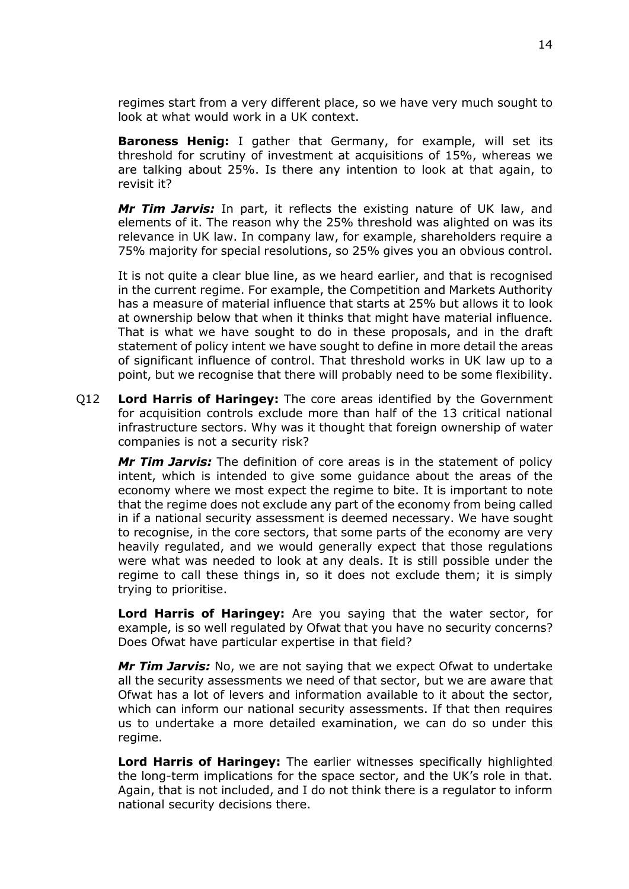regimes start from a very different place, so we have very much sought to look at what would work in a UK context.

**Baroness Henig:** I gather that Germany, for example, will set its threshold for scrutiny of investment at acquisitions of 15%, whereas we are talking about 25%. Is there any intention to look at that again, to revisit it?

*Mr Tim Jarvis:* In part, it reflects the existing nature of UK law, and elements of it. The reason why the 25% threshold was alighted on was its relevance in UK law. In company law, for example, shareholders require a 75% majority for special resolutions, so 25% gives you an obvious control.

It is not quite a clear blue line, as we heard earlier, and that is recognised in the current regime. For example, the Competition and Markets Authority has a measure of material influence that starts at 25% but allows it to look at ownership below that when it thinks that might have material influence. That is what we have sought to do in these proposals, and in the draft statement of policy intent we have sought to define in more detail the areas of significant influence of control. That threshold works in UK law up to a point, but we recognise that there will probably need to be some flexibility.

Q12 **Lord Harris of Haringey:** The core areas identified by the Government for acquisition controls exclude more than half of the 13 critical national infrastructure sectors. Why was it thought that foreign ownership of water companies is not a security risk?

*Mr Tim Jarvis:* The definition of core areas is in the statement of policy intent, which is intended to give some guidance about the areas of the economy where we most expect the regime to bite. It is important to note that the regime does not exclude any part of the economy from being called in if a national security assessment is deemed necessary. We have sought to recognise, in the core sectors, that some parts of the economy are very heavily regulated, and we would generally expect that those regulations were what was needed to look at any deals. It is still possible under the regime to call these things in, so it does not exclude them; it is simply trying to prioritise.

**Lord Harris of Haringey:** Are you saying that the water sector, for example, is so well regulated by Ofwat that you have no security concerns? Does Ofwat have particular expertise in that field?

*Mr Tim Jarvis:* No, we are not saying that we expect Ofwat to undertake all the security assessments we need of that sector, but we are aware that Ofwat has a lot of levers and information available to it about the sector, which can inform our national security assessments. If that then requires us to undertake a more detailed examination, we can do so under this regime.

**Lord Harris of Haringey:** The earlier witnesses specifically highlighted the long-term implications for the space sector, and the UK's role in that. Again, that is not included, and I do not think there is a regulator to inform national security decisions there.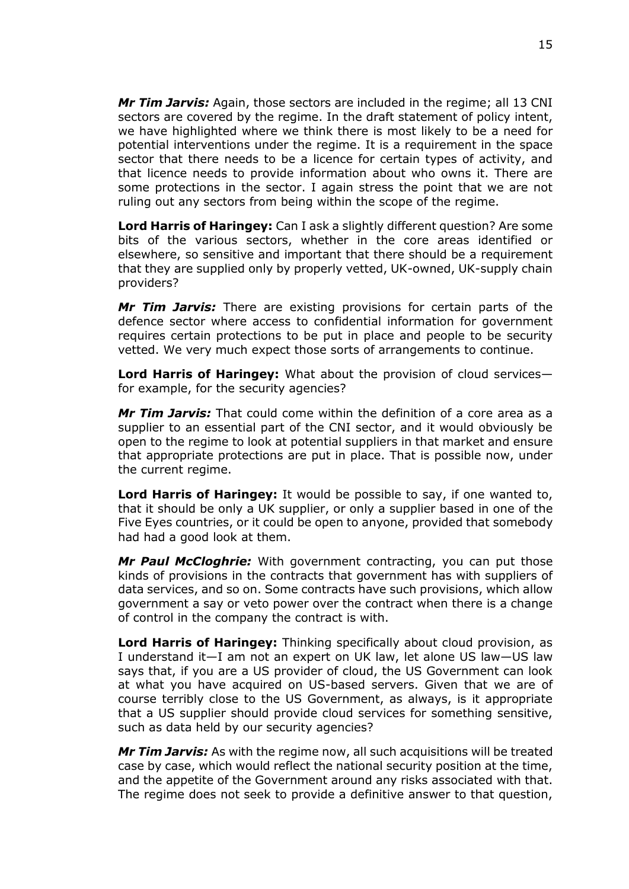*Mr Tim Jarvis:* Again, those sectors are included in the regime; all 13 CNI sectors are covered by the regime. In the draft statement of policy intent, we have highlighted where we think there is most likely to be a need for potential interventions under the regime. It is a requirement in the space sector that there needs to be a licence for certain types of activity, and that licence needs to provide information about who owns it. There are some protections in the sector. I again stress the point that we are not ruling out any sectors from being within the scope of the regime.

**Lord Harris of Haringey:** Can I ask a slightly different question? Are some bits of the various sectors, whether in the core areas identified or elsewhere, so sensitive and important that there should be a requirement that they are supplied only by properly vetted, UK-owned, UK-supply chain providers?

*Mr Tim Jarvis:* There are existing provisions for certain parts of the defence sector where access to confidential information for government requires certain protections to be put in place and people to be security vetted. We very much expect those sorts of arrangements to continue.

**Lord Harris of Haringey:** What about the provision of cloud services for example, for the security agencies?

*Mr Tim Jarvis:* That could come within the definition of a core area as a supplier to an essential part of the CNI sector, and it would obviously be open to the regime to look at potential suppliers in that market and ensure that appropriate protections are put in place. That is possible now, under the current regime.

**Lord Harris of Haringey:** It would be possible to say, if one wanted to, that it should be only a UK supplier, or only a supplier based in one of the Five Eyes countries, or it could be open to anyone, provided that somebody had had a good look at them.

*Mr Paul McCloghrie:* With government contracting, you can put those kinds of provisions in the contracts that government has with suppliers of data services, and so on. Some contracts have such provisions, which allow government a say or veto power over the contract when there is a change of control in the company the contract is with.

**Lord Harris of Haringey:** Thinking specifically about cloud provision, as I understand it—I am not an expert on UK law, let alone US law—US law says that, if you are a US provider of cloud, the US Government can look at what you have acquired on US-based servers. Given that we are of course terribly close to the US Government, as always, is it appropriate that a US supplier should provide cloud services for something sensitive, such as data held by our security agencies?

*Mr Tim Jarvis:* As with the regime now, all such acquisitions will be treated case by case, which would reflect the national security position at the time, and the appetite of the Government around any risks associated with that. The regime does not seek to provide a definitive answer to that question,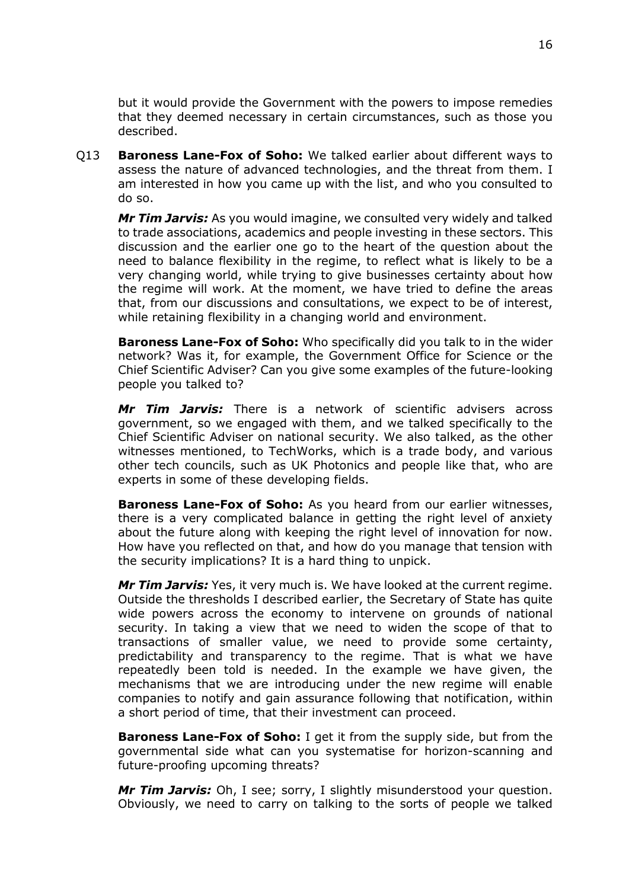but it would provide the Government with the powers to impose remedies that they deemed necessary in certain circumstances, such as those you described.

Q13 **Baroness Lane-Fox of Soho:** We talked earlier about different ways to assess the nature of advanced technologies, and the threat from them. I am interested in how you came up with the list, and who you consulted to do so.

*Mr Tim Jarvis:* As you would imagine, we consulted very widely and talked to trade associations, academics and people investing in these sectors. This discussion and the earlier one go to the heart of the question about the need to balance flexibility in the regime, to reflect what is likely to be a very changing world, while trying to give businesses certainty about how the regime will work. At the moment, we have tried to define the areas that, from our discussions and consultations, we expect to be of interest, while retaining flexibility in a changing world and environment.

**Baroness Lane-Fox of Soho:** Who specifically did you talk to in the wider network? Was it, for example, the Government Office for Science or the Chief Scientific Adviser? Can you give some examples of the future-looking people you talked to?

*Mr Tim Jarvis:* There is a network of scientific advisers across government, so we engaged with them, and we talked specifically to the Chief Scientific Adviser on national security. We also talked, as the other witnesses mentioned, to TechWorks, which is a trade body, and various other tech councils, such as UK Photonics and people like that, who are experts in some of these developing fields.

**Baroness Lane-Fox of Soho:** As you heard from our earlier witnesses, there is a very complicated balance in getting the right level of anxiety about the future along with keeping the right level of innovation for now. How have you reflected on that, and how do you manage that tension with the security implications? It is a hard thing to unpick.

*Mr Tim Jarvis:* Yes, it very much is. We have looked at the current regime. Outside the thresholds I described earlier, the Secretary of State has quite wide powers across the economy to intervene on grounds of national security. In taking a view that we need to widen the scope of that to transactions of smaller value, we need to provide some certainty, predictability and transparency to the regime. That is what we have repeatedly been told is needed. In the example we have given, the mechanisms that we are introducing under the new regime will enable companies to notify and gain assurance following that notification, within a short period of time, that their investment can proceed.

**Baroness Lane-Fox of Soho:** I get it from the supply side, but from the governmental side what can you systematise for horizon-scanning and future-proofing upcoming threats?

*Mr Tim Jarvis:* Oh, I see; sorry, I slightly misunderstood your question. Obviously, we need to carry on talking to the sorts of people we talked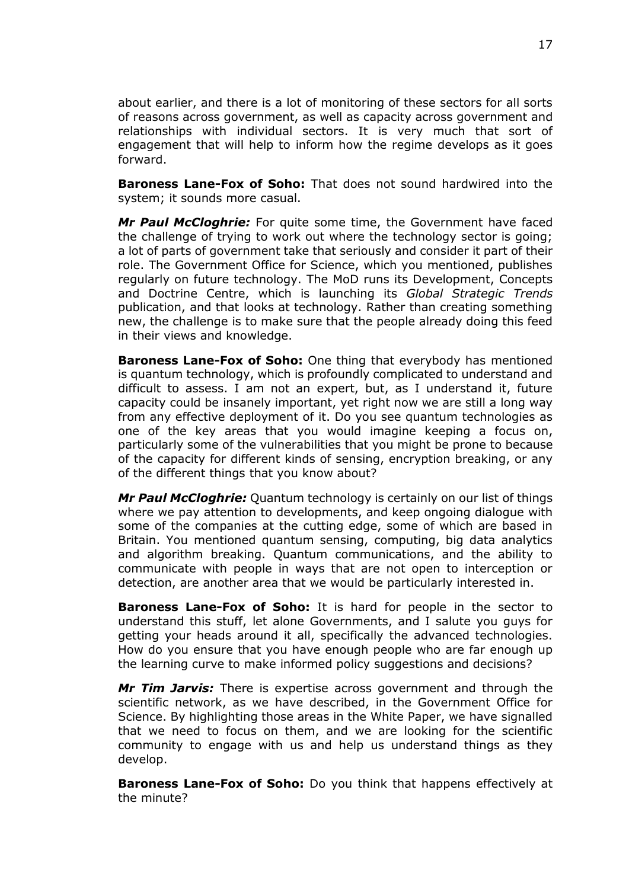about earlier, and there is a lot of monitoring of these sectors for all sorts of reasons across government, as well as capacity across government and relationships with individual sectors. It is very much that sort of engagement that will help to inform how the regime develops as it goes forward.

**Baroness Lane-Fox of Soho:** That does not sound hardwired into the system; it sounds more casual.

*Mr Paul McCloghrie:* For quite some time, the Government have faced the challenge of trying to work out where the technology sector is going; a lot of parts of government take that seriously and consider it part of their role. The Government Office for Science, which you mentioned, publishes regularly on future technology. The MoD runs its Development, Concepts and Doctrine Centre, which is launching its *Global Strategic Trends* publication, and that looks at technology. Rather than creating something new, the challenge is to make sure that the people already doing this feed in their views and knowledge.

**Baroness Lane-Fox of Soho:** One thing that everybody has mentioned is quantum technology, which is profoundly complicated to understand and difficult to assess. I am not an expert, but, as I understand it, future capacity could be insanely important, yet right now we are still a long way from any effective deployment of it. Do you see quantum technologies as one of the key areas that you would imagine keeping a focus on, particularly some of the vulnerabilities that you might be prone to because of the capacity for different kinds of sensing, encryption breaking, or any of the different things that you know about?

*Mr Paul McCloghrie:* Quantum technology is certainly on our list of things where we pay attention to developments, and keep ongoing dialogue with some of the companies at the cutting edge, some of which are based in Britain. You mentioned quantum sensing, computing, big data analytics and algorithm breaking. Quantum communications, and the ability to communicate with people in ways that are not open to interception or detection, are another area that we would be particularly interested in.

**Baroness Lane-Fox of Soho:** It is hard for people in the sector to understand this stuff, let alone Governments, and I salute you guys for getting your heads around it all, specifically the advanced technologies. How do you ensure that you have enough people who are far enough up the learning curve to make informed policy suggestions and decisions?

*Mr Tim Jarvis:* There is expertise across government and through the scientific network, as we have described, in the Government Office for Science. By highlighting those areas in the White Paper, we have signalled that we need to focus on them, and we are looking for the scientific community to engage with us and help us understand things as they develop.

**Baroness Lane-Fox of Soho:** Do you think that happens effectively at the minute?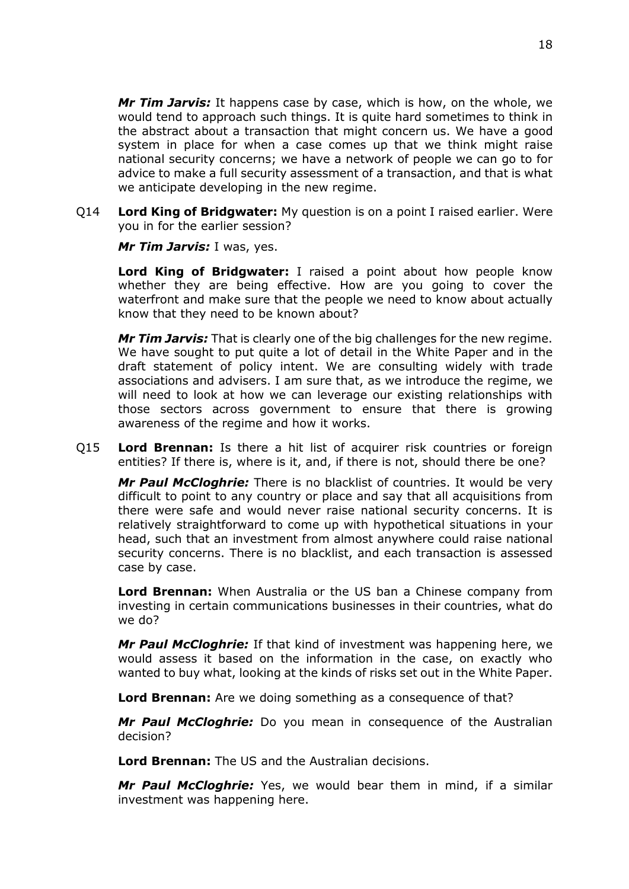*Mr Tim Jarvis:* It happens case by case, which is how, on the whole, we would tend to approach such things. It is quite hard sometimes to think in the abstract about a transaction that might concern us. We have a good system in place for when a case comes up that we think might raise national security concerns; we have a network of people we can go to for advice to make a full security assessment of a transaction, and that is what we anticipate developing in the new regime.

Q14 **Lord King of Bridgwater:** My question is on a point I raised earlier. Were you in for the earlier session?

*Mr Tim Jarvis:* I was, yes.

**Lord King of Bridgwater:** I raised a point about how people know whether they are being effective. How are you going to cover the waterfront and make sure that the people we need to know about actually know that they need to be known about?

*Mr Tim Jarvis:* That is clearly one of the big challenges for the new regime. We have sought to put quite a lot of detail in the White Paper and in the draft statement of policy intent. We are consulting widely with trade associations and advisers. I am sure that, as we introduce the regime, we will need to look at how we can leverage our existing relationships with those sectors across government to ensure that there is growing awareness of the regime and how it works.

Q15 **Lord Brennan:** Is there a hit list of acquirer risk countries or foreign entities? If there is, where is it, and, if there is not, should there be one?

*Mr Paul McCloghrie:* There is no blacklist of countries. It would be very difficult to point to any country or place and say that all acquisitions from there were safe and would never raise national security concerns. It is relatively straightforward to come up with hypothetical situations in your head, such that an investment from almost anywhere could raise national security concerns. There is no blacklist, and each transaction is assessed case by case.

**Lord Brennan:** When Australia or the US ban a Chinese company from investing in certain communications businesses in their countries, what do we do?

*Mr Paul McCloghrie:* If that kind of investment was happening here, we would assess it based on the information in the case, on exactly who wanted to buy what, looking at the kinds of risks set out in the White Paper.

**Lord Brennan:** Are we doing something as a consequence of that?

*Mr Paul McCloghrie:* Do you mean in consequence of the Australian decision?

**Lord Brennan:** The US and the Australian decisions.

*Mr Paul McCloghrie:* Yes, we would bear them in mind, if a similar investment was happening here.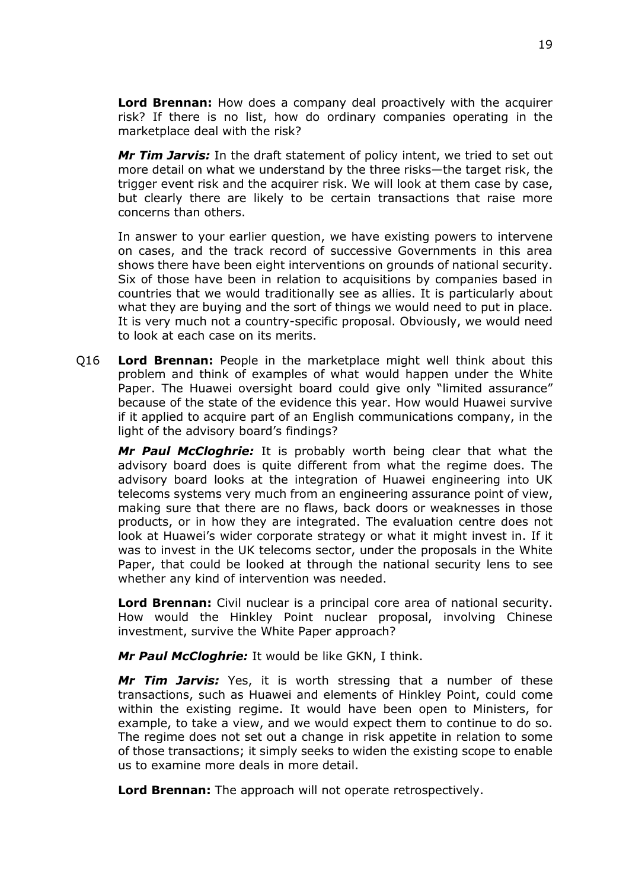**Lord Brennan:** How does a company deal proactively with the acquirer risk? If there is no list, how do ordinary companies operating in the marketplace deal with the risk?

*Mr Tim Jarvis:* In the draft statement of policy intent, we tried to set out more detail on what we understand by the three risks—the target risk, the trigger event risk and the acquirer risk. We will look at them case by case, but clearly there are likely to be certain transactions that raise more concerns than others.

In answer to your earlier question, we have existing powers to intervene on cases, and the track record of successive Governments in this area shows there have been eight interventions on grounds of national security. Six of those have been in relation to acquisitions by companies based in countries that we would traditionally see as allies. It is particularly about what they are buying and the sort of things we would need to put in place. It is very much not a country-specific proposal. Obviously, we would need to look at each case on its merits.

Q16 **Lord Brennan:** People in the marketplace might well think about this problem and think of examples of what would happen under the White Paper. The Huawei oversight board could give only "limited assurance" because of the state of the evidence this year. How would Huawei survive if it applied to acquire part of an English communications company, in the light of the advisory board's findings?

*Mr Paul McCloghrie:* It is probably worth being clear that what the advisory board does is quite different from what the regime does. The advisory board looks at the integration of Huawei engineering into UK telecoms systems very much from an engineering assurance point of view, making sure that there are no flaws, back doors or weaknesses in those products, or in how they are integrated. The evaluation centre does not look at Huawei's wider corporate strategy or what it might invest in. If it was to invest in the UK telecoms sector, under the proposals in the White Paper, that could be looked at through the national security lens to see whether any kind of intervention was needed.

**Lord Brennan:** Civil nuclear is a principal core area of national security. How would the Hinkley Point nuclear proposal, involving Chinese investment, survive the White Paper approach?

*Mr Paul McCloghrie:* It would be like GKN, I think.

*Mr Tim Jarvis:* Yes, it is worth stressing that a number of these transactions, such as Huawei and elements of Hinkley Point, could come within the existing regime. It would have been open to Ministers, for example, to take a view, and we would expect them to continue to do so. The regime does not set out a change in risk appetite in relation to some of those transactions; it simply seeks to widen the existing scope to enable us to examine more deals in more detail.

**Lord Brennan:** The approach will not operate retrospectively.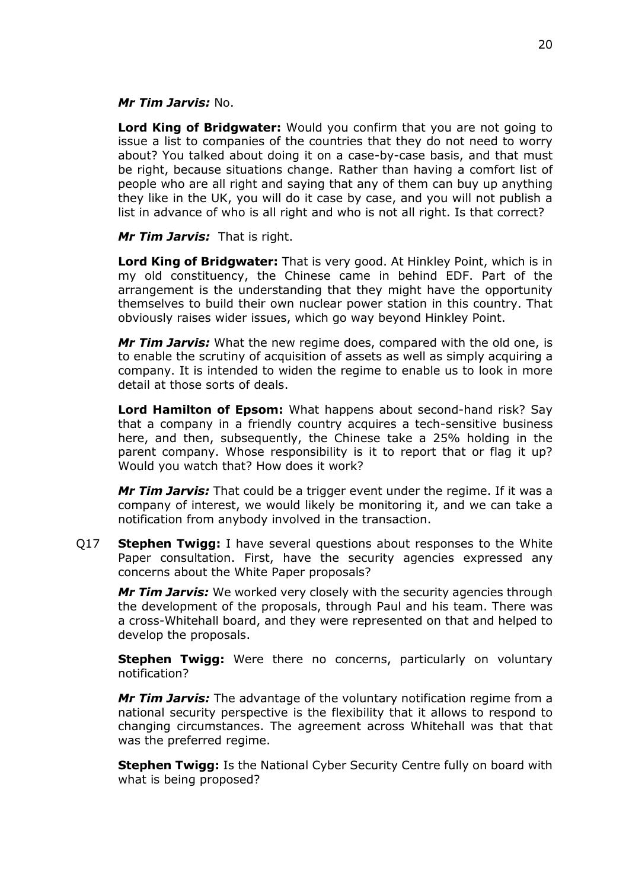#### *Mr Tim Jarvis:* No.

**Lord King of Bridgwater:** Would you confirm that you are not going to issue a list to companies of the countries that they do not need to worry about? You talked about doing it on a case-by-case basis, and that must be right, because situations change. Rather than having a comfort list of people who are all right and saying that any of them can buy up anything they like in the UK, you will do it case by case, and you will not publish a list in advance of who is all right and who is not all right. Is that correct?

#### *Mr Tim Jarvis:* That is right.

**Lord King of Bridgwater:** That is very good. At Hinkley Point, which is in my old constituency, the Chinese came in behind EDF. Part of the arrangement is the understanding that they might have the opportunity themselves to build their own nuclear power station in this country. That obviously raises wider issues, which go way beyond Hinkley Point.

*Mr Tim Jarvis:* What the new regime does, compared with the old one, is to enable the scrutiny of acquisition of assets as well as simply acquiring a company. It is intended to widen the regime to enable us to look in more detail at those sorts of deals.

**Lord Hamilton of Epsom:** What happens about second-hand risk? Say that a company in a friendly country acquires a tech-sensitive business here, and then, subsequently, the Chinese take a 25% holding in the parent company. Whose responsibility is it to report that or flag it up? Would you watch that? How does it work?

*Mr Tim Jarvis:* That could be a trigger event under the regime. If it was a company of interest, we would likely be monitoring it, and we can take a notification from anybody involved in the transaction.

Q17 **Stephen Twigg:** I have several questions about responses to the White Paper consultation. First, have the security agencies expressed any concerns about the White Paper proposals?

*Mr Tim Jarvis:* We worked very closely with the security agencies through the development of the proposals, through Paul and his team. There was a cross-Whitehall board, and they were represented on that and helped to develop the proposals.

**Stephen Twigg:** Were there no concerns, particularly on voluntary notification?

*Mr Tim Jarvis:* The advantage of the voluntary notification regime from a national security perspective is the flexibility that it allows to respond to changing circumstances. The agreement across Whitehall was that that was the preferred regime.

**Stephen Twigg:** Is the National Cyber Security Centre fully on board with what is being proposed?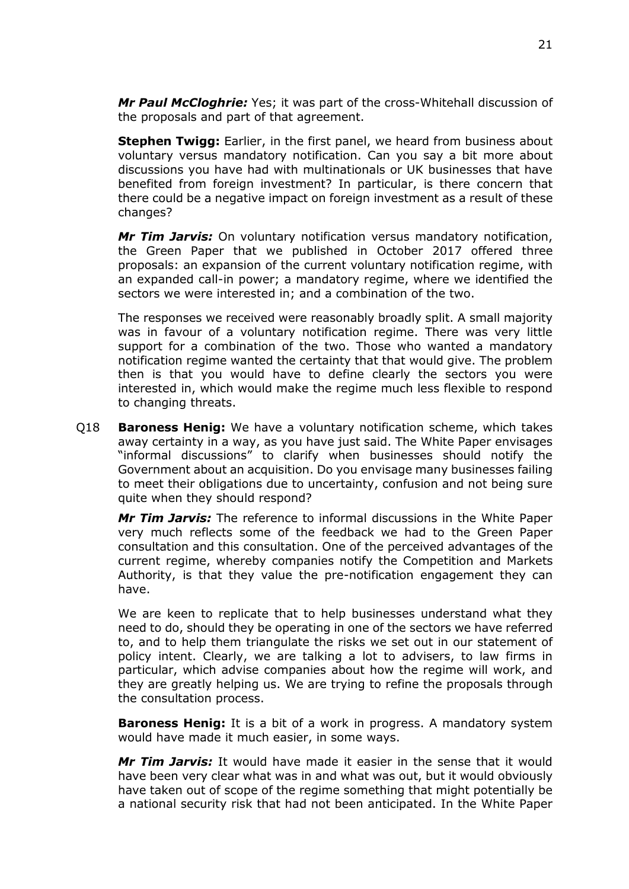*Mr Paul McCloghrie:* Yes; it was part of the cross-Whitehall discussion of the proposals and part of that agreement.

**Stephen Twigg:** Earlier, in the first panel, we heard from business about voluntary versus mandatory notification. Can you say a bit more about discussions you have had with multinationals or UK businesses that have benefited from foreign investment? In particular, is there concern that there could be a negative impact on foreign investment as a result of these changes?

*Mr Tim Jarvis:* On voluntary notification versus mandatory notification, the Green Paper that we published in October 2017 offered three proposals: an expansion of the current voluntary notification regime, with an expanded call-in power; a mandatory regime, where we identified the sectors we were interested in; and a combination of the two.

The responses we received were reasonably broadly split. A small majority was in favour of a voluntary notification regime. There was very little support for a combination of the two. Those who wanted a mandatory notification regime wanted the certainty that that would give. The problem then is that you would have to define clearly the sectors you were interested in, which would make the regime much less flexible to respond to changing threats.

Q18 **Baroness Henig:** We have a voluntary notification scheme, which takes away certainty in a way, as you have just said. The White Paper envisages "informal discussions" to clarify when businesses should notify the Government about an acquisition. Do you envisage many businesses failing to meet their obligations due to uncertainty, confusion and not being sure quite when they should respond?

*Mr Tim Jarvis:* The reference to informal discussions in the White Paper very much reflects some of the feedback we had to the Green Paper consultation and this consultation. One of the perceived advantages of the current regime, whereby companies notify the Competition and Markets Authority, is that they value the pre-notification engagement they can have.

We are keen to replicate that to help businesses understand what they need to do, should they be operating in one of the sectors we have referred to, and to help them triangulate the risks we set out in our statement of policy intent. Clearly, we are talking a lot to advisers, to law firms in particular, which advise companies about how the regime will work, and they are greatly helping us. We are trying to refine the proposals through the consultation process.

**Baroness Henig:** It is a bit of a work in progress. A mandatory system would have made it much easier, in some ways.

*Mr Tim Jarvis:* It would have made it easier in the sense that it would have been very clear what was in and what was out, but it would obviously have taken out of scope of the regime something that might potentially be a national security risk that had not been anticipated. In the White Paper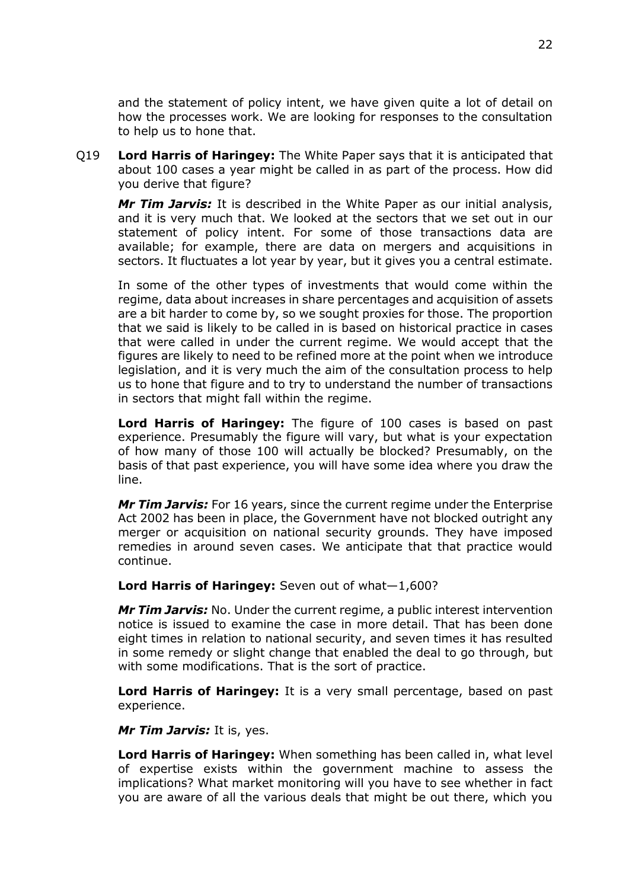and the statement of policy intent, we have given quite a lot of detail on how the processes work. We are looking for responses to the consultation to help us to hone that.

Q19 **Lord Harris of Haringey:** The White Paper says that it is anticipated that about 100 cases a year might be called in as part of the process. How did you derive that figure?

*Mr Tim Jarvis:* It is described in the White Paper as our initial analysis, and it is very much that. We looked at the sectors that we set out in our statement of policy intent. For some of those transactions data are available; for example, there are data on mergers and acquisitions in sectors. It fluctuates a lot year by year, but it gives you a central estimate.

In some of the other types of investments that would come within the regime, data about increases in share percentages and acquisition of assets are a bit harder to come by, so we sought proxies for those. The proportion that we said is likely to be called in is based on historical practice in cases that were called in under the current regime. We would accept that the figures are likely to need to be refined more at the point when we introduce legislation, and it is very much the aim of the consultation process to help us to hone that figure and to try to understand the number of transactions in sectors that might fall within the regime.

**Lord Harris of Haringey:** The figure of 100 cases is based on past experience. Presumably the figure will vary, but what is your expectation of how many of those 100 will actually be blocked? Presumably, on the basis of that past experience, you will have some idea where you draw the line.

*Mr Tim Jarvis:* For 16 years, since the current regime under the Enterprise Act 2002 has been in place, the Government have not blocked outright any merger or acquisition on national security grounds. They have imposed remedies in around seven cases. We anticipate that that practice would continue.

#### **Lord Harris of Haringey:** Seven out of what—1,600?

*Mr Tim Jarvis:* No. Under the current regime, a public interest intervention notice is issued to examine the case in more detail. That has been done eight times in relation to national security, and seven times it has resulted in some remedy or slight change that enabled the deal to go through, but with some modifications. That is the sort of practice.

**Lord Harris of Haringey:** It is a very small percentage, based on past experience.

#### *Mr Tim Jarvis:* It is, yes.

**Lord Harris of Haringey:** When something has been called in, what level of expertise exists within the government machine to assess the implications? What market monitoring will you have to see whether in fact you are aware of all the various deals that might be out there, which you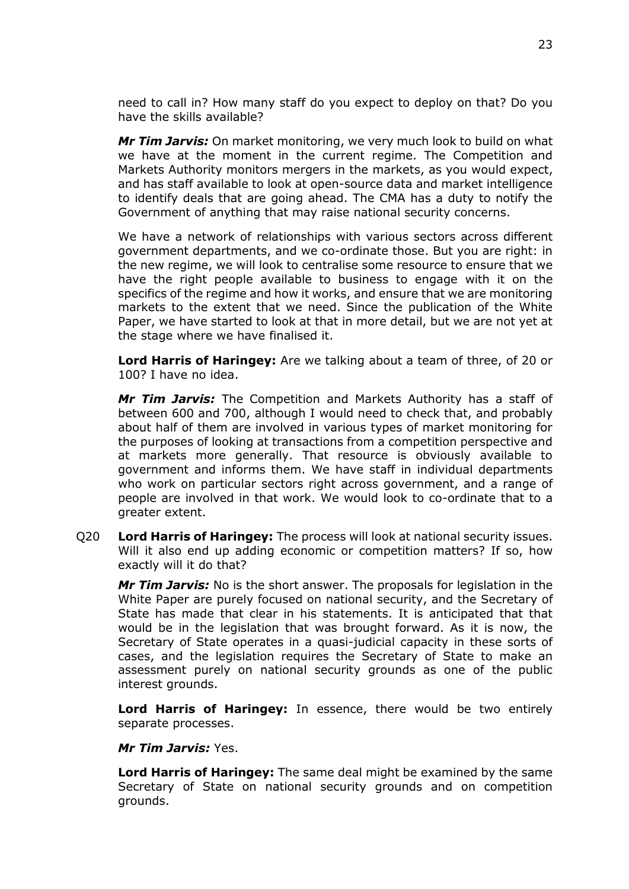need to call in? How many staff do you expect to deploy on that? Do you have the skills available?

*Mr Tim Jarvis:* On market monitoring, we very much look to build on what we have at the moment in the current regime. The Competition and Markets Authority monitors mergers in the markets, as you would expect, and has staff available to look at open-source data and market intelligence to identify deals that are going ahead. The CMA has a duty to notify the Government of anything that may raise national security concerns.

We have a network of relationships with various sectors across different government departments, and we co-ordinate those. But you are right: in the new regime, we will look to centralise some resource to ensure that we have the right people available to business to engage with it on the specifics of the regime and how it works, and ensure that we are monitoring markets to the extent that we need. Since the publication of the White Paper, we have started to look at that in more detail, but we are not yet at the stage where we have finalised it.

**Lord Harris of Haringey:** Are we talking about a team of three, of 20 or 100? I have no idea.

*Mr Tim Jarvis:* The Competition and Markets Authority has a staff of between 600 and 700, although I would need to check that, and probably about half of them are involved in various types of market monitoring for the purposes of looking at transactions from a competition perspective and at markets more generally. That resource is obviously available to government and informs them. We have staff in individual departments who work on particular sectors right across government, and a range of people are involved in that work. We would look to co-ordinate that to a greater extent.

Q20 **Lord Harris of Haringey:** The process will look at national security issues. Will it also end up adding economic or competition matters? If so, how exactly will it do that?

*Mr Tim Jarvis:* No is the short answer. The proposals for legislation in the White Paper are purely focused on national security, and the Secretary of State has made that clear in his statements. It is anticipated that that would be in the legislation that was brought forward. As it is now, the Secretary of State operates in a quasi-judicial capacity in these sorts of cases, and the legislation requires the Secretary of State to make an assessment purely on national security grounds as one of the public interest grounds.

**Lord Harris of Haringey:** In essence, there would be two entirely separate processes.

#### *Mr Tim Jarvis:* Yes.

**Lord Harris of Haringey:** The same deal might be examined by the same Secretary of State on national security grounds and on competition grounds.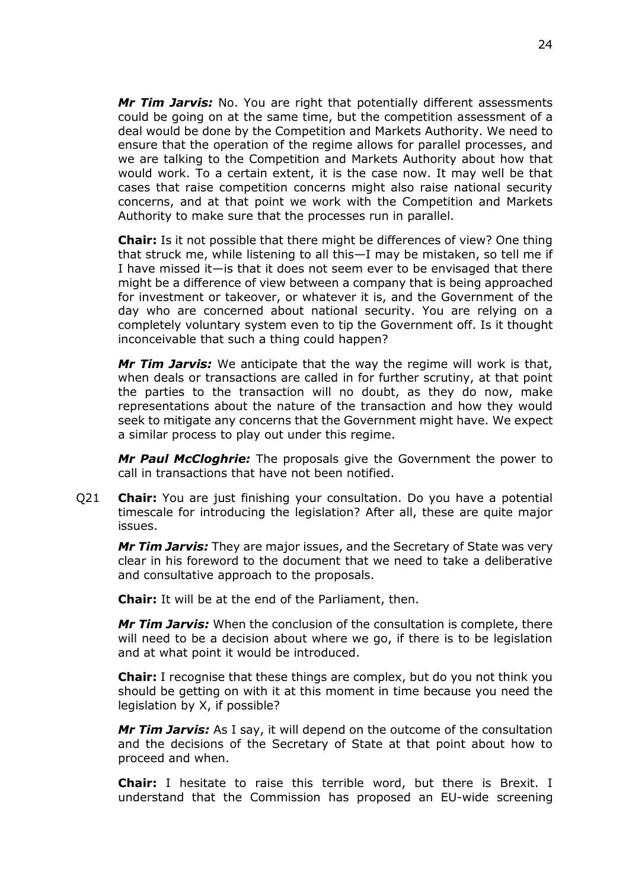*Mr Tim Jarvis:* No. You are right that potentially different assessments could be going on at the same time, but the competition assessment of a deal would be done by the Competition and Markets Authority. We need to ensure that the operation of the regime allows for parallel processes, and we are talking to the Competition and Markets Authority about how that would work. To a certain extent, it is the case now. It may well be that cases that raise competition concerns might also raise national security concerns, and at that point we work with the Competition and Markets Authority to make sure that the processes run in parallel.

**Chair:** Is it not possible that there might be differences of view? One thing that struck me, while listening to all this—I may be mistaken, so tell me if I have missed it—is that it does not seem ever to be envisaged that there might be a difference of view between a company that is being approached for investment or takeover, or whatever it is, and the Government of the day who are concerned about national security. You are relying on a completely voluntary system even to tip the Government off. Is it thought inconceivable that such a thing could happen?

*Mr Tim Jarvis:* We anticipate that the way the regime will work is that, when deals or transactions are called in for further scrutiny, at that point the parties to the transaction will no doubt, as they do now, make representations about the nature of the transaction and how they would seek to mitigate any concerns that the Government might have. We expect a similar process to play out under this regime.

*Mr Paul McCloghrie:* The proposals give the Government the power to call in transactions that have not been notified.

Q21 **Chair:** You are just finishing your consultation. Do you have a potential timescale for introducing the legislation? After all, these are quite major issues.

*Mr Tim Jarvis:* They are major issues, and the Secretary of State was very clear in his foreword to the document that we need to take a deliberative and consultative approach to the proposals.

**Chair:** It will be at the end of the Parliament, then.

*Mr Tim Jarvis:* When the conclusion of the consultation is complete, there will need to be a decision about where we go, if there is to be legislation and at what point it would be introduced.

**Chair:** I recognise that these things are complex, but do you not think you should be getting on with it at this moment in time because you need the legislation by X, if possible?

*Mr Tim Jarvis:* As I say, it will depend on the outcome of the consultation and the decisions of the Secretary of State at that point about how to proceed and when.

**Chair:** I hesitate to raise this terrible word, but there is Brexit. I understand that the Commission has proposed an EU-wide screening